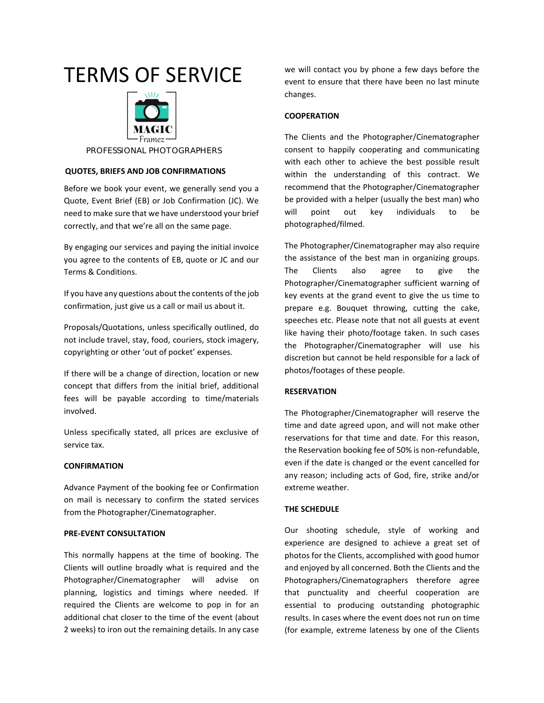# TERMS OF SERVICE TERMS OF SERVICE



# **PROFESSIONAL PHOTOGRAPHERS**

# **QUOTES, BRIEFS AND JOB CONFIRMATIONS QUOTES, BRIEFS AND JOB CONFIRMATIONS**

Before we book your event, we generally send you a Quote, Event Brief (EB) or Job Confirmation (JC). We need to make sure that we have understood your brief correctly, and that we're all on the same page.

By engaging our services and paying the initial invoice you agree to the contents of EB, quote or JC and our Terms & Conditions.

If you have any questions about the contents of the job confirmation, just give us a call or mail us about it.

Proposals/Quotations, unless specifically outlined, do not include travel, stay, food, couriers, stock imagery, copyrighting or other 'out of pocket' expenses.

If there will be a change of direction, location or new concept that differs from the initial brief, additional fees will be payable according to time/materials involved.

Unless specifically stated, all prices are exclusive of service tax.

#### **CONFIRMATION**

Advance Payment of the booking fee or Confirmation on mail is necessary to confirm the stated services from the Photographer/Cinematographer.

## **PRE-EVENT CONSULTATION**

This normally happens at the time of booking. The Clients will outline broadly what is required and the Photographer/Cinematographer will advise on planning, logistics and timings where needed. If required the Clients are welcome to pop in for an additional chat closer to the time of the event (about 2 weeks) to iron out the remaining details. In any case

we will contact you by phone a few days before the event to ensure that there have been no last minute changes.

# **COOPERATION**

The Clients and the Photographer/Cinematographer consent to happily cooperating and communicating with each other to achieve the best possible result within the understanding of this contract. We recommend that the Photographer/Cinematographer be provided with a helper (usually the best man) who will point out key individuals to be photographed/filmed.

The Photographer/Cinematographer may also require the assistance of the best man in organizing groups. The Clients also agree to give the Photographer/Cinematographer sufficient warning of key events at the grand event to give the us time to prepare e.g. Bouquet throwing, cutting the cake, speeches etc. Please note that not all guests at event like having their photo/footage taken. In such cases the Photographer/Cinematographer will use his discretion but cannot be held responsible for a lack of photos/footages of these people.

# **RESERVATION**

The Photographer/Cinematographer will reserve the time and date agreed upon, and will not make other reservations for that time and date. For this reason, the Reservation booking fee of 50% is non-refundable, even if the date is changed or the event cancelled for any reason; including acts of God, fire, strike and/or extreme weather.

# **THE SCHEDULE**

Our shooting schedule, style of working and experience are designed to achieve a great set of photos for the Clients, accomplished with good humor and enjoyed by all concerned. Both the Clients and the Photographers/Cinematographers therefore agree that punctuality and cheerful cooperation are essential to producing outstanding photographic results. In cases where the event does not run on time (for example, extreme lateness by one of the Clients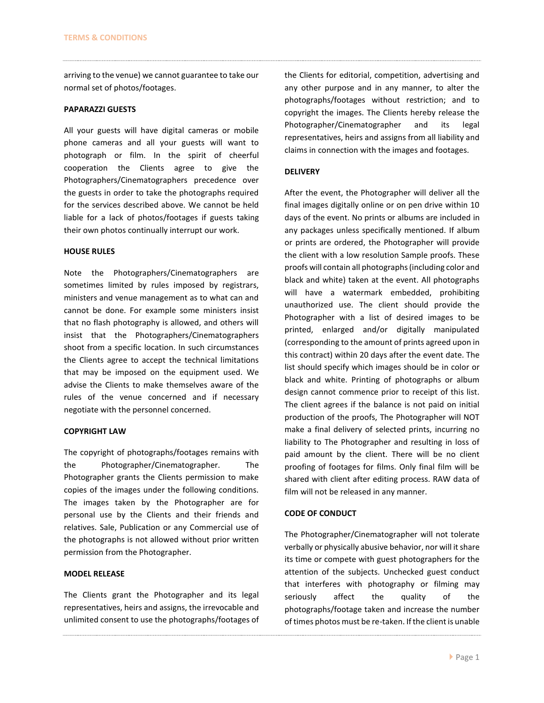arriving to the venue) we cannot guarantee to take our normal set of photos/footages.

# **PAPARAZZI GUESTS**

All your guests will have digital cameras or mobile phone cameras and all your guests will want to photograph or film. In the spirit of cheerful cooperation the Clients agree to give the Photographers/Cinematographers precedence over the guests in order to take the photographs required for the services described above. We cannot be held liable for a lack of photos/footages if guests taking their own photos continually interrupt our work.

# **HOUSE RULES**

Note the Photographers/Cinematographers are sometimes limited by rules imposed by registrars, ministers and venue management as to what can and cannot be done. For example some ministers insist that no flash photography is allowed, and others will insist that the Photographers/Cinematographers shoot from a specific location. In such circumstances the Clients agree to accept the technical limitations that may be imposed on the equipment used. We advise the Clients to make themselves aware of the rules of the venue concerned and if necessary negotiate with the personnel concerned.

#### **COPYRIGHT LAW**

The copyright of photographs/footages remains with the Photographer/Cinematographer. The Photographer grants the Clients permission to make copies of the images under the following conditions. The images taken by the Photographer are for personal use by the Clients and their friends and relatives. Sale, Publication or any Commercial use of the photographs is not allowed without prior written permission from the Photographer.

#### **MODEL RELEASE**

The Clients grant the Photographer and its legal representatives, heirs and assigns, the irrevocable and unlimited consent to use the photographs/footages of the Clients for editorial, competition, advertising and any other purpose and in any manner, to alter the photographs/footages without restriction; and to copyright the images. The Clients hereby release the Photographer/Cinematographer and its legal representatives, heirs and assigns from all liability and claims in connection with the images and footages.

# **DELIVERY**

After the event, the Photographer will deliver all the final images digitally online or on pen drive within 10 days of the event. No prints or albums are included in any packages unless specifically mentioned. If album or prints are ordered, the Photographer will provide the client with a low resolution Sample proofs. These proofs will contain all photographs (including color and black and white) taken at the event. All photographs will have a watermark embedded, prohibiting unauthorized use. The client should provide the Photographer with a list of desired images to be printed, enlarged and/or digitally manipulated (corresponding to the amount of prints agreed upon in this contract) within 20 days after the event date. The list should specify which images should be in color or black and white. Printing of photographs or album design cannot commence prior to receipt of this list. The client agrees if the balance is not paid on initial production of the proofs, The Photographer will NOT make a final delivery of selected prints, incurring no liability to The Photographer and resulting in loss of paid amount by the client. There will be no client proofing of footages for films. Only final film will be shared with client after editing process. RAW data of film will not be released in any manner.

# **CODE OF CONDUCT**

The Photographer/Cinematographer will not tolerate verbally or physically abusive behavior, nor will it share its time or compete with guest photographers for the attention of the subjects. Unchecked guest conduct that interferes with photography or filming may seriously affect the quality of the photographs/footage taken and increase the number of times photos must be re-taken. If the client is unable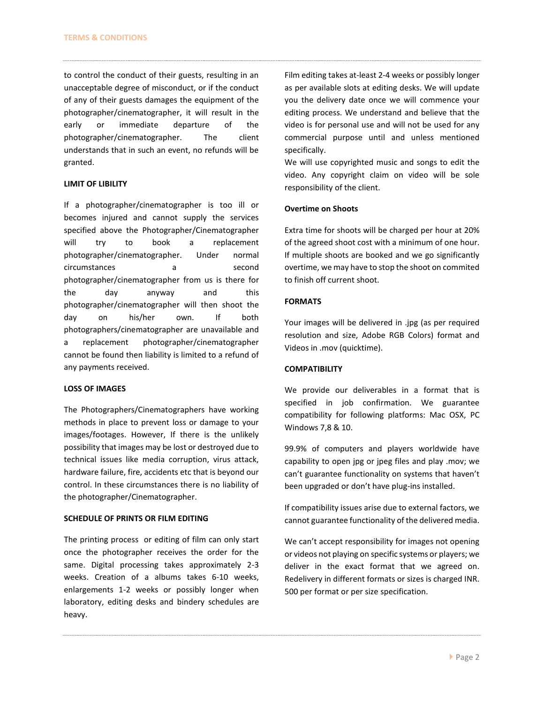to control the conduct of their guests, resulting in an unacceptable degree of misconduct, or if the conduct of any of their guests damages the equipment of the photographer/cinematographer, it will result in the early or immediate departure of the photographer/cinematographer. The client understands that in such an event, no refunds will be granted.

### **LIMIT OF LIBILITY**

If a photographer/cinematographer is too ill or becomes injured and cannot supply the services specified above the Photographer/Cinematographer will try to book a replacement photographer/cinematographer. Under normal circumstances a a second photographer/cinematographer from us is there for the day anyway and this photographer/cinematographer will then shoot the day on his/her own. If both photographers/cinematographer are unavailable and a replacement photographer/cinematographer cannot be found then liability is limited to a refund of any payments received.

#### **LOSS OF IMAGES**

The Photographers/Cinematographers have working methods in place to prevent loss or damage to your images/footages. However, If there is the unlikely possibility that images may be lost or destroyed due to technical issues like media corruption, virus attack, hardware failure, fire, accidents etc that is beyond our control. In these circumstances there is no liability of the photographer/Cinematographer.

# **SCHEDULE OF PRINTS OR FILM EDITING**

The printing process or editing of film can only start once the photographer receives the order for the same. Digital processing takes approximately 2-3 weeks. Creation of a albums takes 6-10 weeks, enlargements 1-2 weeks or possibly longer when laboratory, editing desks and bindery schedules are heavy.

Film editing takes at-least 2-4 weeks or possibly longer as per available slots at editing desks. We will update you the delivery date once we will commence your editing process. We understand and believe that the video is for personal use and will not be used for any commercial purpose until and unless mentioned specifically.

We will use copyrighted music and songs to edit the video. Any copyright claim on video will be sole responsibility of the client.

#### **Overtime on Shoots**

Extra time for shoots will be charged per hour at 20% of the agreed shoot cost with a minimum of one hour. If multiple shoots are booked and we go significantly overtime, we may have to stop the shoot on commited to finish off current shoot.

# **FORMATS**

Your images will be delivered in .jpg (as per required resolution and size, Adobe RGB Colors) format and Videos in .mov (quicktime).

#### **COMPATIBILITY**

We provide our deliverables in a format that is specified in job confirmation. We guarantee compatibility for following platforms: Mac OSX, PC Windows 7,8 & 10.

99.9% of computers and players worldwide have capability to open jpg or jpeg files and play .mov; we can't guarantee functionality on systems that haven't been upgraded or don't have plug-ins installed.

If compatibility issues arise due to external factors, we cannot guarantee functionality of the delivered media.

We can't accept responsibility for images not opening or videos not playing on specific systems or players; we deliver in the exact format that we agreed on. Redelivery in different formats or sizes is charged INR. 500 per format or per size specification.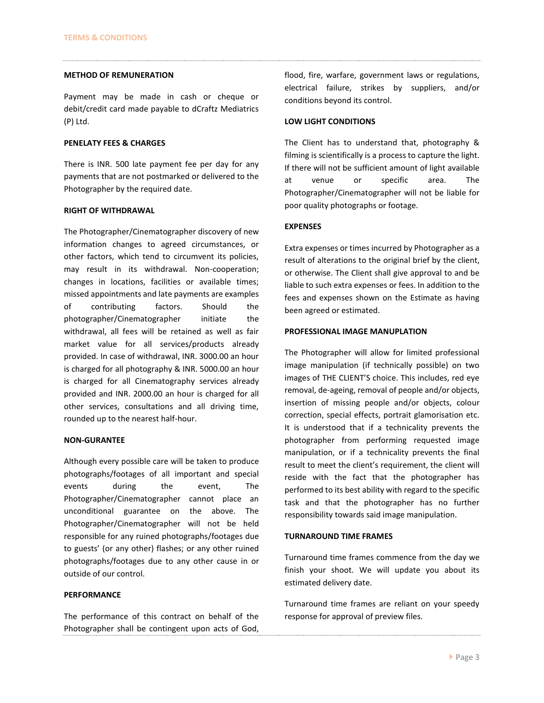#### **METHOD OF REMUNERATION**

Payment may be made in cash or cheque or debit/credit card made payable to dCraftz Mediatrics (P) Ltd.

# **PENELATY FEES & CHARGES**

There is INR. 500 late payment fee per day for any payments that are not postmarked or delivered to the Photographer by the required date.

#### **RIGHT OF WITHDRAWAL**

The Photographer/Cinematographer discovery of new information changes to agreed circumstances, or other factors, which tend to circumvent its policies, may result in its withdrawal. Non-cooperation; changes in locations, facilities or available times; missed appointments and late payments are examples of contributing factors. Should the photographer/Cinematographer initiate the withdrawal, all fees will be retained as well as fair market value for all services/products already provided. In case of withdrawal, INR. 3000.00 an hour is charged for all photography & INR. 5000.00 an hour is charged for all Cinematography services already provided and INR. 2000.00 an hour is charged for all other services, consultations and all driving time, rounded up to the nearest half-hour.

#### **NON-GURANTEE**

Although every possible care will be taken to produce photographs/footages of all important and special events during the event, The Photographer/Cinematographer cannot place an unconditional guarantee on the above. The Photographer/Cinematographer will not be held responsible for any ruined photographs/footages due to guests' (or any other) flashes; or any other ruined photographs/footages due to any other cause in or outside of our control.

# **PERFORMANCE**

The performance of this contract on behalf of the Photographer shall be contingent upon acts of God, flood, fire, warfare, government laws or regulations, electrical failure, strikes by suppliers, and/or conditions beyond its control.

# **LOW LIGHT CONDITIONS**

The Client has to understand that, photography & filming is scientifically is a process to capture the light. If there will not be sufficient amount of light available at venue or specific area. The Photographer/Cinematographer will not be liable for poor quality photographs or footage.

## **EXPENSES**

Extra expenses or times incurred by Photographer as a result of alterations to the original brief by the client, or otherwise. The Client shall give approval to and be liable to such extra expenses or fees. In addition to the fees and expenses shown on the Estimate as having been agreed or estimated.

# **PROFESSIONAL IMAGE MANUPLATION**

The Photographer will allow for limited professional image manipulation (if technically possible) on two images of THE CLIENT'S choice. This includes, red eye removal, de-ageing, removal of people and/or objects, insertion of missing people and/or objects, colour correction, special effects, portrait glamorisation etc. It is understood that if a technicality prevents the photographer from performing requested image manipulation, or if a technicality prevents the final result to meet the client's requirement, the client will reside with the fact that the photographer has performed to its best ability with regard to the specific task and that the photographer has no further responsibility towards said image manipulation.

# **TURNAROUND TIME FRAMES**

Turnaround time frames commence from the day we finish your shoot. We will update you about its estimated delivery date.

Turnaround time frames are reliant on your speedy response for approval of preview files.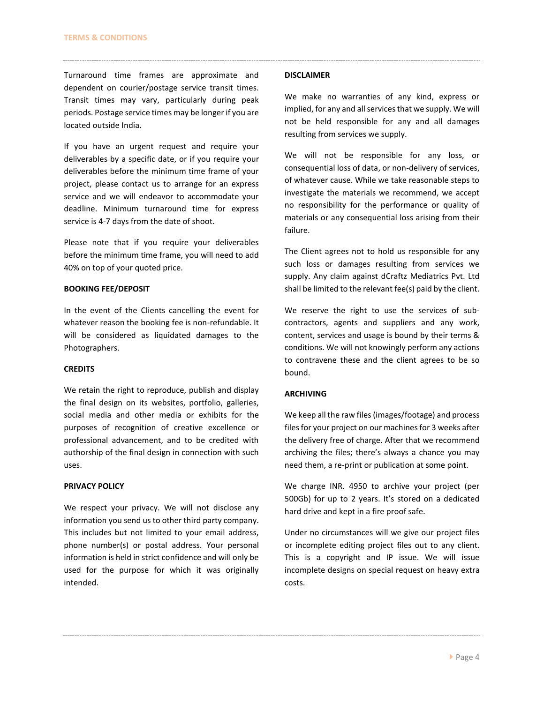Turnaround time frames are approximate and dependent on courier/postage service transit times. Transit times may vary, particularly during peak periods. Postage service times may be longer if you are located outside India.

If you have an urgent request and require your deliverables by a specific date, or if you require your deliverables before the minimum time frame of your project, please contact us to arrange for an express service and we will endeavor to accommodate your deadline. Minimum turnaround time for express service is 4-7 days from the date of shoot.

Please note that if you require your deliverables before the minimum time frame, you will need to add 40% on top of your quoted price.

# **BOOKING FEE/DEPOSIT**

In the event of the Clients cancelling the event for whatever reason the booking fee is non-refundable. It will be considered as liquidated damages to the Photographers.

# **CREDITS**

We retain the right to reproduce, publish and display the final design on its websites, portfolio, galleries, social media and other media or exhibits for the purposes of recognition of creative excellence or professional advancement, and to be credited with authorship of the final design in connection with such uses.

#### **PRIVACY POLICY**

We respect your privacy. We will not disclose any information you send us to other third party company. This includes but not limited to your email address, phone number(s) or postal address. Your personal information is held in strict confidence and will only be used for the purpose for which it was originally intended.

#### **DISCLAIMER**

We make no warranties of any kind, express or implied, for any and all services that we supply. We will not be held responsible for any and all damages resulting from services we supply.

We will not be responsible for any loss, or consequential loss of data, or non-delivery of services, of whatever cause. While we take reasonable steps to investigate the materials we recommend, we accept no responsibility for the performance or quality of materials or any consequential loss arising from their failure.

The Client agrees not to hold us responsible for any such loss or damages resulting from services we supply. Any claim against dCraftz Mediatrics Pvt. Ltd shall be limited to the relevant fee(s) paid by the client.

We reserve the right to use the services of subcontractors, agents and suppliers and any work, content, services and usage is bound by their terms & conditions. We will not knowingly perform any actions to contravene these and the client agrees to be so bound.

#### **ARCHIVING**

We keep all the raw files (images/footage) and process files for your project on our machines for 3 weeks after the delivery free of charge. After that we recommend archiving the files; there's always a chance you may need them, a re-print or publication at some point.

We charge INR. 4950 to archive your project (per 500Gb) for up to 2 years. It's stored on a dedicated hard drive and kept in a fire proof safe.

Under no circumstances will we give our project files or incomplete editing project files out to any client. This is a copyright and IP issue. We will issue incomplete designs on special request on heavy extra costs.